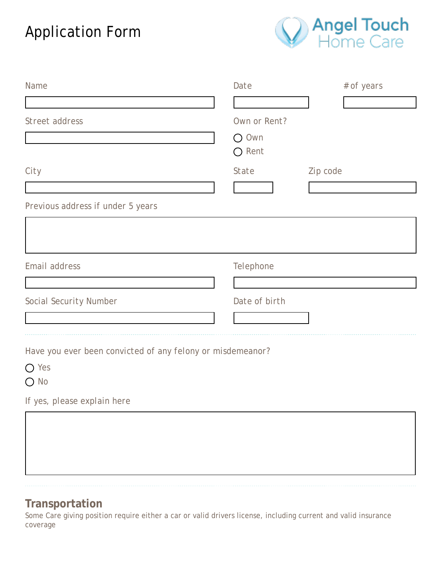## Application Form



| Name                                                       | Date          | # of years |
|------------------------------------------------------------|---------------|------------|
|                                                            |               |            |
| Street address                                             | Own or Rent?  |            |
|                                                            | $O$ Own       |            |
|                                                            | $O$ Rent      |            |
| City                                                       | State         | Zip code   |
|                                                            |               |            |
| Previous address if under 5 years                          |               |            |
|                                                            |               |            |
|                                                            |               |            |
| Email address                                              | Telephone     |            |
|                                                            |               |            |
| Social Security Number                                     | Date of birth |            |
|                                                            |               |            |
|                                                            |               |            |
| Have you ever been convicted of any felony or misdemeanor? |               |            |
| $\bigcirc$ Yes                                             |               |            |
| $\bigcirc$ No                                              |               |            |
| If yes, please explain here                                |               |            |
|                                                            |               |            |
|                                                            |               |            |
|                                                            |               |            |

## **Transportation**

Some Care giving position require either a car or valid drivers license, including current and valid insurance coverage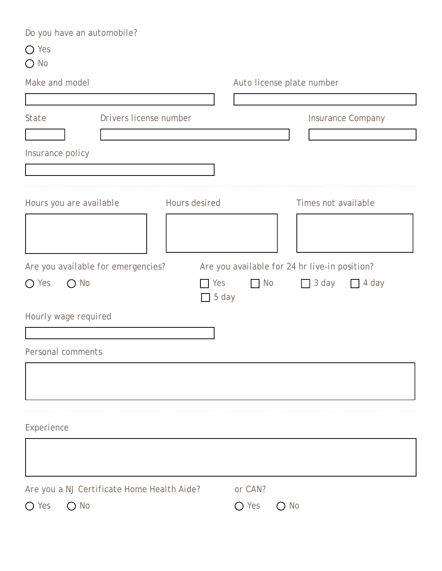| Do you have an automobile?                 |                      |                                               |
|--------------------------------------------|----------------------|-----------------------------------------------|
| $\bigcirc$ Yes                             |                      |                                               |
| $\bigcirc$ No                              |                      |                                               |
| Make and model                             |                      | Auto license plate number                     |
|                                            |                      |                                               |
| Drivers license number<br>State            |                      | Insurance Company                             |
|                                            |                      |                                               |
| Insurance policy                           |                      |                                               |
|                                            |                      |                                               |
|                                            |                      |                                               |
| Hours you are available                    | <b>Hours</b> desired | Times not available                           |
|                                            |                      |                                               |
| Are you available for emergencies?         |                      | Are you available for 24 hr live-in position? |
| $O$ No<br>$\bigcirc$ Yes                   | Yes<br>5 day         | $\Box$ No<br>$\Box$ 3 day<br>$\Box$ 4 day     |
| Hourly wage required                       |                      |                                               |
|                                            |                      |                                               |
| Personal comments                          |                      |                                               |
|                                            |                      |                                               |
|                                            |                      |                                               |
|                                            |                      |                                               |
|                                            |                      |                                               |
| Experience                                 |                      |                                               |
|                                            |                      |                                               |
|                                            |                      |                                               |
| Are you a NJ Certificate Home Health Aide? |                      | or CAN?                                       |
| $\bigcirc$ No<br>Yes                       |                      | $\bigcirc$ Yes<br>$\bigcirc$ No               |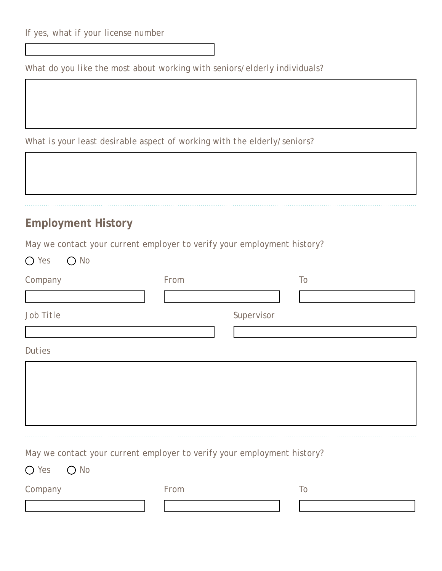*What do you like the most about working with seniors/elderly individuals?*

*What is your least desirable aspect of working with the elderly/seniors?*

| <b>Employment History</b> |                                                                         |            |  |
|---------------------------|-------------------------------------------------------------------------|------------|--|
|                           | May we contact your current employer to verify your employment history? |            |  |
| $O$ No<br>$\bigcirc$ Yes  |                                                                         |            |  |
| Company                   | From                                                                    | To         |  |
|                           |                                                                         |            |  |
| Job Title                 |                                                                         | Supervisor |  |
|                           |                                                                         |            |  |
| <b>Duties</b>             |                                                                         |            |  |
|                           |                                                                         |            |  |
|                           |                                                                         |            |  |
|                           |                                                                         |            |  |
|                           |                                                                         |            |  |

*Yes No Company From To*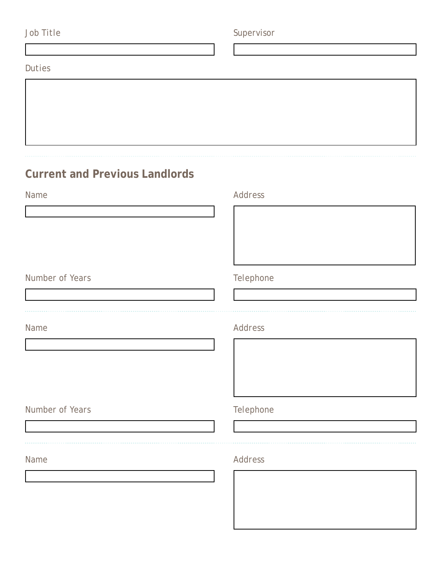| Job Title                             | Supervisor |  |  |
|---------------------------------------|------------|--|--|
|                                       |            |  |  |
| Duties                                |            |  |  |
|                                       |            |  |  |
|                                       |            |  |  |
|                                       |            |  |  |
|                                       |            |  |  |
|                                       |            |  |  |
| <b>Current and Previous Landlords</b> |            |  |  |
| Name                                  | Address    |  |  |
|                                       |            |  |  |
|                                       |            |  |  |
|                                       |            |  |  |
|                                       |            |  |  |
| Number of Years                       | Telephone  |  |  |
|                                       |            |  |  |
|                                       |            |  |  |
| Name                                  | Address    |  |  |
|                                       |            |  |  |
|                                       |            |  |  |
|                                       |            |  |  |
|                                       |            |  |  |
| Number of Years                       | Telephone  |  |  |
|                                       |            |  |  |
| Name                                  | Address    |  |  |
|                                       |            |  |  |
|                                       |            |  |  |
|                                       |            |  |  |
|                                       |            |  |  |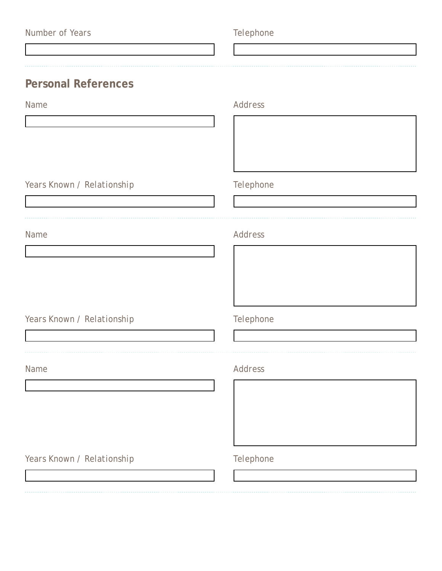| Number of Years |  |  |
|-----------------|--|--|
|-----------------|--|--|

## $Telephone$

**Personal References**

| Name                       | Address   |  |  |
|----------------------------|-----------|--|--|
|                            |           |  |  |
|                            |           |  |  |
|                            |           |  |  |
| Years Known / Relationship | Telephone |  |  |
|                            |           |  |  |
|                            |           |  |  |
| Name                       | Address   |  |  |
|                            |           |  |  |
|                            |           |  |  |
|                            |           |  |  |
| Years Known / Relationship | Telephone |  |  |
|                            |           |  |  |
| Name                       | Address   |  |  |
|                            |           |  |  |
|                            |           |  |  |
|                            |           |  |  |
|                            |           |  |  |
| Years Known / Relationship | Telephone |  |  |
|                            |           |  |  |